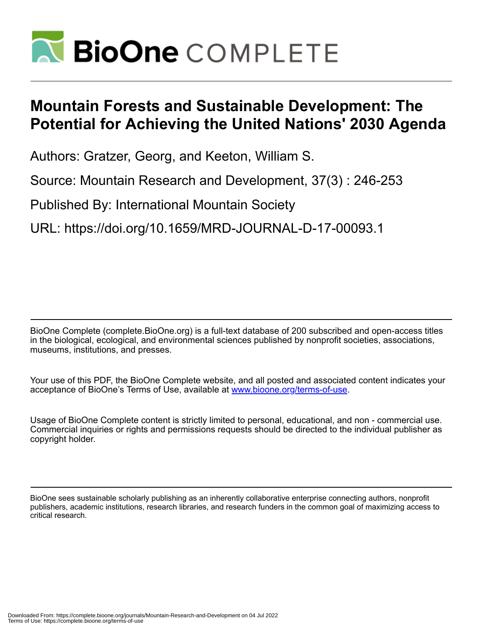

# **Mountain Forests and Sustainable Development: The Potential for Achieving the United Nations' 2030 Agenda**

Authors: Gratzer, Georg, and Keeton, William S.

Source: Mountain Research and Development, 37(3) : 246-253

Published By: International Mountain Society

URL: https://doi.org/10.1659/MRD-JOURNAL-D-17-00093.1

BioOne Complete (complete.BioOne.org) is a full-text database of 200 subscribed and open-access titles in the biological, ecological, and environmental sciences published by nonprofit societies, associations, museums, institutions, and presses.

Your use of this PDF, the BioOne Complete website, and all posted and associated content indicates your acceptance of BioOne's Terms of Use, available at www.bioone.org/terms-of-use.

Usage of BioOne Complete content is strictly limited to personal, educational, and non - commercial use. Commercial inquiries or rights and permissions requests should be directed to the individual publisher as copyright holder.

BioOne sees sustainable scholarly publishing as an inherently collaborative enterprise connecting authors, nonprofit publishers, academic institutions, research libraries, and research funders in the common goal of maximizing access to critical research.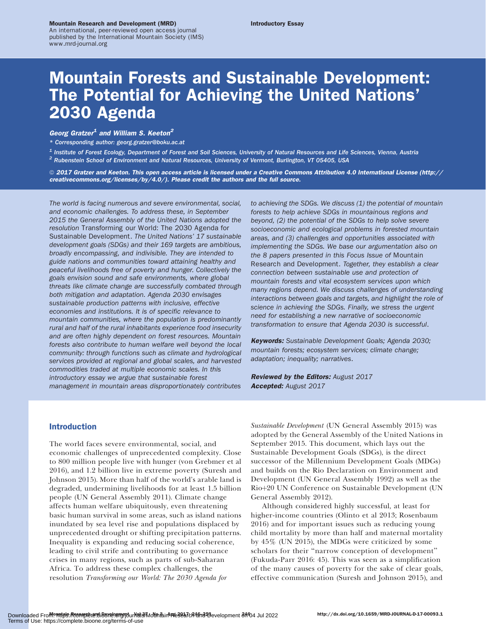#### Mountain Research and Development (MRD)

An international, peer-reviewed open access journal published by the International Mountain Society (IMS) www.mrd-journal.org

## Mountain Forests and Sustainable Development: The Potential for Achieving the United Nations' 2030 Agenda

## Georg Gratzer<sup>1</sup> and William S. Keeton<sup>2</sup>

\* Corresponding author: [georg.gratzer@boku.ac.at](mailto:georg.gratzer@boku.ac.at)

<sup>1</sup> Institute of Forest Ecology, Department of Forest and Soil Sciences, University of Natural Resources and Life Sciences, Vienna, Austria <sup>2</sup> Rubenstein School of Environment and Natural Resources, University of Vermont, Burlington, VT 05405, USA

© 2017 Gratzer and Keeton. This open access article is licensed under a Creative Commons Attribution 4.0 International License ([http://](http://creativecommons.org/licenses/by/4.0/) [creativecommons.org/licenses/by/4.0/\)](http://creativecommons.org/licenses/by/4.0/). Please credit the authors and the full source.

The world is facing numerous and severe environmental, social, and economic challenges. To address these, in September 2015 the General Assembly of the United Nations adopted the resolution Transforming our World: The 2030 Agenda for Sustainable Development. The United Nations' 17 sustainable development goals (SDGs) and their 169 targets are ambitious, broadly encompassing, and indivisible. They are intended to guide nations and communities toward attaining healthy and peaceful livelihoods free of poverty and hunger. Collectively the goals envision sound and safe environments, where global threats like climate change are successfully combated through both mitigation and adaptation. Agenda 2030 envisages sustainable production patterns with inclusive, effective economies and institutions. It is of specific relevance to mountain communities, where the population is predominantly rural and half of the rural inhabitants experience food insecurity and are often highly dependent on forest resources. Mountain forests also contribute to human welfare well beyond the local community: through functions such as climate and hydrological services provided at regional and global scales, and harvested commodities traded at multiple economic scales. In this introductory essay we argue that sustainable forest management in mountain areas disproportionately contributes

to achieving the SDGs. We discuss (1) the potential of mountain forests to help achieve SDGs in mountainous regions and beyond, (2) the potential of the SDGs to help solve severe socioeconomic and ecological problems in forested mountain areas, and (3) challenges and opportunities associated with implementing the SDGs. We base our argumentation also on the 8 papers presented in this Focus Issue of Mountain Research and Development. Together, they establish a clear connection between sustainable use and protection of mountain forests and vital ecosystem services upon which many regions depend. We discuss challenges of understanding interactions between goals and targets, and highlight the role of science in achieving the SDGs. Finally, we stress the urgent need for establishing a new narrative of socioeconomic transformation to ensure that Agenda 2030 is successful.

Keywords: Sustainable Development Goals; Agenda 2030; mountain forests; ecosystem services; climate change; adaptation; inequality; narratives.

Reviewed by the Editors: August 2017 Accepted: August 2017

## Introduction

The world faces severe environmental, social, and economic challenges of unprecedented complexity. Close to 800 million people live with hunger (von Grebmer et al 2016), and 1.2 billion live in extreme poverty (Suresh and Johnson 2015). More than half of the world's arable land is degraded, undermining livelihoods for at least 1.5 billion people (UN General Assembly 2011). Climate change affects human welfare ubiquitously, even threatening basic human survival in some areas, such as island nations inundated by sea level rise and populations displaced by unprecedented drought or shifting precipitation patterns. Inequality is expanding and reducing social coherence, leading to civil strife and contributing to governance crises in many regions, such as parts of sub-Saharan Africa. To address these complex challenges, the resolution Transforming our World: The 2030 Agenda for

Sustainable Development (UN General Assembly 2015) was adopted by the General Assembly of the United Nations in September 2015. This document, which lays out the Sustainable Development Goals (SDGs), is the direct successor of the Millennium Development Goals (MDGs) and builds on the Rio Declaration on Environment and Development (UN General Assembly 1992) as well as the Rio+20 UN Conference on Sustainable Development (UN General Assembly 2012).

Although considered highly successful, at least for higher-income countries (Olinto et al 2013; Rosenbaum 2016) and for important issues such as reducing young child mortality by more than half and maternal mortality by 45% (UN 2015), the MDGs were criticized by some scholars for their ''narrow conception of development'' (Fukuda-Parr 2016: 45). This was seen as a simplification of the many causes of poverty for the sake of clear goals, effective communication (Suresh and Johnson 2015), and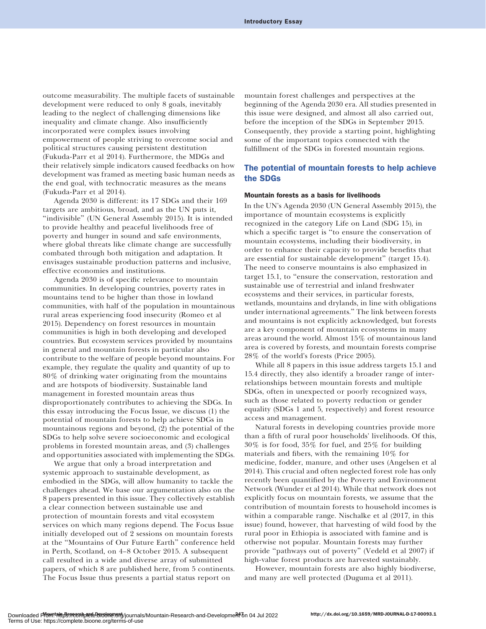outcome measurability. The multiple facets of sustainable development were reduced to only 8 goals, inevitably leading to the neglect of challenging dimensions like inequality and climate change. Also insufficiently incorporated were complex issues involving empowerment of people striving to overcome social and political structures causing persistent destitution (Fukuda-Parr et al 2014). Furthermore, the MDGs and their relatively simple indicators caused feedbacks on how development was framed as meeting basic human needs as the end goal, with technocratic measures as the means (Fukuda-Parr et al 2014).

Agenda 2030 is different: its 17 SDGs and their 169 targets are ambitious, broad, and as the UN puts it, "indivisible" (UN General Assembly 2015). It is intended to provide healthy and peaceful livelihoods free of poverty and hunger in sound and safe environments, where global threats like climate change are successfully combated through both mitigation and adaptation. It envisages sustainable production patterns and inclusive, effective economies and institutions.

Agenda 2030 is of specific relevance to mountain communities. In developing countries, poverty rates in mountains tend to be higher than those in lowland communities, with half of the population in mountainous rural areas experiencing food insecurity (Romeo et al 2015). Dependency on forest resources in mountain communities is high in both developing and developed countries. But ecosystem services provided by mountains in general and mountain forests in particular also contribute to the welfare of people beyond mountains. For example, they regulate the quality and quantity of up to 80% of drinking water originating from the mountains and are hotspots of biodiversity. Sustainable land management in forested mountain areas thus disproportionately contributes to achieving the SDGs. In this essay introducing the Focus Issue, we discuss (1) the potential of mountain forests to help achieve SDGs in mountainous regions and beyond, (2) the potential of the SDGs to help solve severe socioeconomic and ecological problems in forested mountain areas, and (3) challenges and opportunities associated with implementing the SDGs.

We argue that only a broad interpretation and systemic approach to sustainable development, as embodied in the SDGs, will allow humanity to tackle the challenges ahead. We base our argumentation also on the 8 papers presented in this issue. They collectively establish a clear connection between sustainable use and protection of mountain forests and vital ecosystem services on which many regions depend. The Focus Issue initially developed out of 2 sessions on mountain forests at the ''Mountains of Our Future Earth'' conference held in Perth, Scotland, on 4–8 October 2015. A subsequent call resulted in a wide and diverse array of submitted papers, of which 8 are published here, from 5 continents. The Focus Issue thus presents a partial status report on

mountain forest challenges and perspectives at the beginning of the Agenda 2030 era. All studies presented in this issue were designed, and almost all also carried out, before the inception of the SDGs in September 2015. Consequently, they provide a starting point, highlighting some of the important topics connected with the fulfillment of the SDGs in forested mountain regions.

## The potential of mountain forests to help achieve the SDGs

## Mountain forests as a basis for livelihoods

In the UN's Agenda 2030 (UN General Assembly 2015), the importance of mountain ecosystems is explicitly recognized in the category Life on Land (SDG 15), in which a specific target is ''to ensure the conservation of mountain ecosystems, including their biodiversity, in order to enhance their capacity to provide benefits that are essential for sustainable development'' (target 15.4). The need to conserve mountains is also emphasized in target 15.1, to ''ensure the conservation, restoration and sustainable use of terrestrial and inland freshwater ecosystems and their services, in particular forests, wetlands, mountains and drylands, in line with obligations under international agreements.'' The link between forests and mountains is not explicitly acknowledged, but forests are a key component of mountain ecosystems in many areas around the world. Almost 15% of mountainous land area is covered by forests, and mountain forests comprise 28% of the world's forests (Price 2005).

While all 8 papers in this issue address targets 15.1 and 15.4 directly, they also identify a broader range of interrelationships between mountain forests and multiple SDGs, often in unexpected or poorly recognized ways, such as those related to poverty reduction or gender equality (SDGs 1 and 5, respectively) and forest resource access and management.

Natural forests in developing countries provide more than a fifth of rural poor households' livelihoods. Of this, 30% is for food, 35% for fuel, and 25% for building materials and fibers, with the remaining 10% for medicine, fodder, manure, and other uses (Angelsen et al 2014). This crucial and often neglected forest role has only recently been quantified by the Poverty and Environment Network (Wunder et al 2014). While that network does not explicitly focus on mountain forests, we assume that the contribution of mountain forests to household incomes is within a comparable range. Nischalke et al (2017, in this issue) found, however, that harvesting of wild food by the rural poor in Ethiopia is associated with famine and is otherwise not popular. Mountain forests may further provide ''pathways out of poverty'' (Vedeld et al 2007) if high-value forest products are harvested sustainably.

However, mountain forests are also highly biodiverse, and many are well protected (Duguma et al 2011).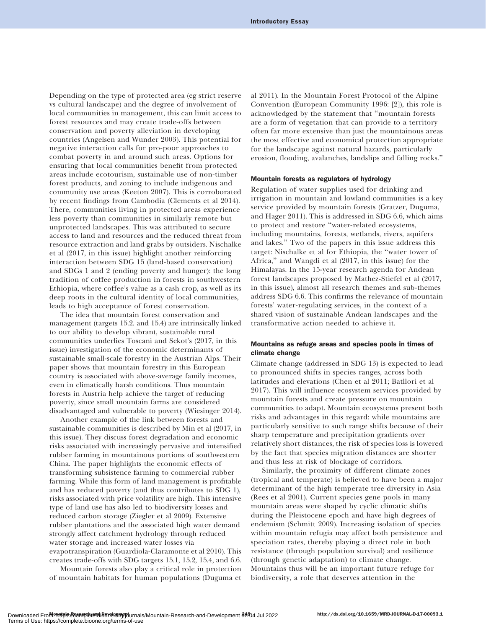Depending on the type of protected area (eg strict reserve vs cultural landscape) and the degree of involvement of local communities in management, this can limit access to forest resources and may create trade-offs between conservation and poverty alleviation in developing countries (Angelsen and Wunder 2003). This potential for negative interaction calls for pro-poor approaches to combat poverty in and around such areas. Options for ensuring that local communities benefit from protected areas include ecotourism, sustainable use of non-timber forest products, and zoning to include indigenous and community use areas (Keeton 2007). This is corroborated by recent findings from Cambodia (Clements et al 2014). There, communities living in protected areas experience less poverty than communities in similarly remote but unprotected landscapes. This was attributed to secure access to land and resources and the reduced threat from resource extraction and land grabs by outsiders. Nischalke et al (2017, in this issue) highlight another reinforcing interaction between SDG 15 (land-based conservation) and SDGs 1 and 2 (ending poverty and hunger): the long tradition of coffee production in forests in southwestern Ethiopia, where coffee's value as a cash crop, as well as its deep roots in the cultural identity of local communities, leads to high acceptance of forest conservation.

The idea that mountain forest conservation and management (targets 15.2. and 15.4) are intrinsically linked to our ability to develop vibrant, sustainable rural communities underlies Toscani and Sekot's (2017, in this issue) investigation of the economic determinants of sustainable small-scale forestry in the Austrian Alps. Their paper shows that mountain forestry in this European country is associated with above-average family incomes, even in climatically harsh conditions. Thus mountain forests in Austria help achieve the target of reducing poverty, since small mountain farms are considered disadvantaged and vulnerable to poverty (Wiesinger 2014).

Another example of the link between forests and sustainable communities is described by Min et al (2017, in this issue). They discuss forest degradation and economic risks associated with increasingly pervasive and intensified rubber farming in mountainous portions of southwestern China. The paper highlights the economic effects of transforming subsistence farming to commercial rubber farming. While this form of land management is profitable and has reduced poverty (and thus contributes to SDG 1), risks associated with price volatility are high. This intensive type of land use has also led to biodiversity losses and reduced carbon storage (Ziegler et al 2009). Extensive rubber plantations and the associated high water demand strongly affect catchment hydrology through reduced water storage and increased water losses via evapotranspiration (Guardiola-Claramonte et al 2010). This creates trade-offs with SDG targets 15.1, 15.2, 15.4, and 6.6.

Mountain forests also play a critical role in protection of mountain habitats for human populations (Duguma et al 2011). In the Mountain Forest Protocol of the Alpine Convention (European Community 1996: [2]), this role is acknowledged by the statement that ''mountain forests are a form of vegetation that can provide to a territory often far more extensive than just the mountainous areas the most effective and economical protection appropriate for the landscape against natural hazards, particularly erosion, flooding, avalanches, landslips and falling rocks.''

## Mountain forests as regulators of hydrology

Regulation of water supplies used for drinking and irrigation in mountain and lowland communities is a key service provided by mountain forests (Gratzer, Duguma, and Hager 2011). This is addressed in SDG 6.6, which aims to protect and restore ''water-related ecosystems, including mountains, forests, wetlands, rivers, aquifers and lakes.'' Two of the papers in this issue address this target: Nischalke et al for Ethiopia, the ''water tower of Africa,'' and Wangdi et al (2017, in this issue) for the Himalayas. In the 15-year research agenda for Andean forest landscapes proposed by Mathez-Stiefel et al (2017, in this issue), almost all research themes and sub-themes address SDG 6.6. This confirms the relevance of mountain forests' water-regulating services, in the context of a shared vision of sustainable Andean landscapes and the transformative action needed to achieve it.

## Mountains as refuge areas and species pools in times of climate change

Climate change (addressed in SDG 13) is expected to lead to pronounced shifts in species ranges, across both latitudes and elevations (Chen et al 2011; Batllori et al 2017). This will influence ecosystem services provided by mountain forests and create pressure on mountain communities to adapt. Mountain ecosystems present both risks and advantages in this regard: while mountains are particularly sensitive to such range shifts because of their sharp temperature and precipitation gradients over relatively short distances, the risk of species loss is lowered by the fact that species migration distances are shorter and thus less at risk of blockage of corridors.

Similarly, the proximity of different climate zones (tropical and temperate) is believed to have been a major determinant of the high temperate tree diversity in Asia (Rees et al 2001). Current species gene pools in many mountain areas were shaped by cyclic climatic shifts during the Pleistocene epoch and have high degrees of endemism (Schmitt 2009). Increasing isolation of species within mountain refugia may affect both persistence and speciation rates, thereby playing a direct role in both resistance (through population survival) and resilience (through genetic adaptation) to climate change. Mountains thus will be an important future refuge for biodiversity, a role that deserves attention in the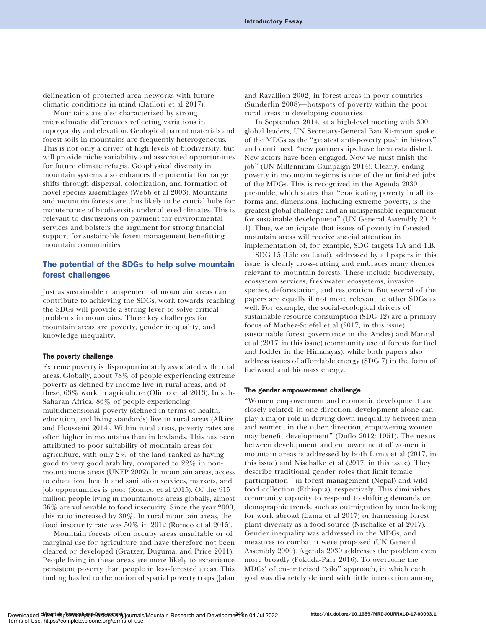delineation of protected area networks with future climatic conditions in mind (Batllori et al 2017).

Mountains are also characterized by strong microclimatic differences reflecting variations in topography and elevation. Geological parent materials and forest soils in mountains are frequently heterogeneous. This is not only a driver of high levels of biodiversity, but will provide niche variability and associated opportunities for future climate refugia. Geophysical diversity in mountain systems also enhances the potential for range shifts through dispersal, colonization, and formation of novel species assemblages (Webb et al 2003). Mountains and mountain forests are thus likely to be crucial hubs for maintenance of biodiversity under altered climates. This is relevant to discussions on payment for environmental services and bolsters the argument for strong financial support for sustainable forest management benefitting mountain communities.

## The potential of the SDGs to help solve mountain forest challenges

Just as sustainable management of mountain areas can contribute to achieving the SDGs, work towards reaching the SDGs will provide a strong lever to solve critical problems in mountains. Three key challenges for mountain areas are poverty, gender inequality, and knowledge inequality.

### The poverty challenge

Extreme poverty is disproportionately associated with rural areas. Globally, about 78% of people experiencing extreme poverty as defined by income live in rural areas, and of these, 63% work in agriculture (Olinto et al 2013). In sub-Saharan Africa, 86% of people experiencing multidimensional poverty (defined in terms of health, education, and living standards) live in rural areas (Alkire and Housseini 2014). Within rural areas, poverty rates are often higher in mountains than in lowlands. This has been attributed to poor suitability of mountain areas for agriculture, with only 2% of the land ranked as having good to very good arability, compared to 22% in nonmountainous areas (UNEP 2002). In mountain areas, access to education, health and sanitation services, markets, and job opportunities is poor (Romeo et al 2015). Of the 915 million people living in mountainous areas globally, almost 36% are vulnerable to food insecurity. Since the year 2000, this ratio increased by 30%. In rural mountain areas, the food insecurity rate was 50% in 2012 (Romeo et al 2015).

Mountain forests often occupy areas unsuitable or of marginal use for agriculture and have therefore not been cleared or developed (Gratzer, Duguma, and Price 2011). People living in these areas are more likely to experience persistent poverty than people in less-forested areas. This finding has led to the notion of spatial poverty traps (Jalan and Ravallion 2002) in forest areas in poor countries (Sunderlin 2008)—hotspots of poverty within the poor rural areas in developing countries.

In September 2014, at a high-level meeting with 300 global leaders, UN Secretary-General Ban Ki-moon spoke of the MDGs as the ''greatest anti-poverty push in history'' and continued, ''new partnerships have been established. New actors have been engaged. Now we must finish the job'' (UN Millennium Campaign 2014). Clearly, ending poverty in mountain regions is one of the unfinished jobs of the MDGs. This is recognized in the Agenda 2030 preamble, which states that ''eradicating poverty in all its forms and dimensions, including extreme poverty, is the greatest global challenge and an indispensable requirement for sustainable development'' (UN General Assembly 2015: 1). Thus, we anticipate that issues of poverty in forested mountain areas will receive special attention in implementation of, for example, SDG targets 1.A and 1.B.

SDG 15 (Life on Land), addressed by all papers in this issue, is clearly cross-cutting and embraces many themes relevant to mountain forests. These include biodiversity, ecosystem services, freshwater ecosystems, invasive species, deforestation, and restoration. But several of the papers are equally if not more relevant to other SDGs as well. For example, the social-ecological drivers of sustainable resource consumption (SDG 12) are a primary focus of Mathez-Stiefel et al (2017, in this issue) (sustainable forest governance in the Andes) and Manral et al (2017, in this issue) (community use of forests for fuel and fodder in the Himalayas), while both papers also address issues of affordable energy (SDG 7) in the form of fuelwood and biomass energy.

#### The gender empowerment challenge

''Women empowerment and economic development are closely related: in one direction, development alone can play a major role in driving down inequality between men and women; in the other direction, empowering women may benefit development'' (Duflo 2012: 1051). The nexus between development and empowerment of women in mountain areas is addressed by both Lama et al (2017, in this issue) and Nischalke et al (2017, in this issue). They describe traditional gender roles that limit female participation—in forest management (Nepal) and wild food collection (Ethiopia), respectively. This diminishes community capacity to respond to shifting demands or demographic trends, such as outmigration by men looking for work abroad (Lama et al 2017) or harnessing forest plant diversity as a food source (Nischalke et al 2017). Gender inequality was addressed in the MDGs, and measures to combat it were proposed (UN General Assembly 2000). Agenda 2030 addresses the problem even more broadly (Fukuda-Parr 2016). To overcome the MDGs' often-criticized ''silo'' approach, in which each goal was discretely defined with little interaction among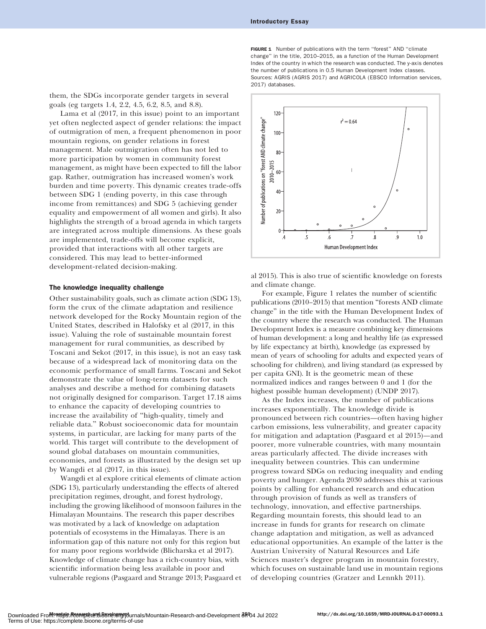FIGURE 1 Number of publications with the term "forest" AND "climate change'' in the title, 2010–2015, as a function of the Human Development Index of the country in which the research was conducted. The y-axis denotes the number of publications in 0.5 Human Development Index classes. Sources: AGRIS (AGRIS 2017) and AGRICOLA (EBSCO Information services, 2017) databases.

them, the SDGs incorporate gender targets in several goals (eg targets 1.4, 2.2, 4.5, 6.2, 8.5, and 8.8).

Lama et al (2017, in this issue) point to an important yet often neglected aspect of gender relations: the impact of outmigration of men, a frequent phenomenon in poor mountain regions, on gender relations in forest management. Male outmigration often has not led to more participation by women in community forest management, as might have been expected to fill the labor gap. Rather, outmigration has increased women's work burden and time poverty. This dynamic creates trade-offs between SDG 1 (ending poverty, in this case through income from remittances) and SDG 5 (achieving gender equality and empowerment of all women and girls). It also highlights the strength of a broad agenda in which targets are integrated across multiple dimensions. As these goals are implemented, trade-offs will become explicit, provided that interactions with all other targets are considered. This may lead to better-informed development-related decision-making.

#### The knowledge inequality challenge

Other sustainability goals, such as climate action (SDG 13), form the crux of the climate adaptation and resilience network developed for the Rocky Mountain region of the United States, described in Halofsky et al (2017, in this issue). Valuing the role of sustainable mountain forest management for rural communities, as described by Toscani and Sekot (2017, in this issue), is not an easy task because of a widespread lack of monitoring data on the economic performance of small farms. Toscani and Sekot demonstrate the value of long-term datasets for such analyses and describe a method for combining datasets not originally designed for comparison. Target 17.18 aims to enhance the capacity of developing countries to increase the availability of ''high-quality, timely and reliable data.'' Robust socioeconomic data for mountain systems, in particular, are lacking for many parts of the world. This target will contribute to the development of sound global databases on mountain communities, economies, and forests as illustrated by the design set up by Wangdi et al (2017, in this issue).

Wangdi et al explore critical elements of climate action (SDG 13), particularly understanding the effects of altered precipitation regimes, drought, and forest hydrology, including the growing likelihood of monsoon failures in the Himalayan Mountains. The research this paper describes was motivated by a lack of knowledge on adaptation potentials of ecosystems in the Himalayas. There is an information gap of this nature not only for this region but for many poor regions worldwide (Blicharska et al 2017). Knowledge of climate change has a rich-country bias, with scientific information being less available in poor and vulnerable regions (Pasgaard and Strange 2013; Pasgaard et



al 2015). This is also true of scientific knowledge on forests and climate change.

For example, Figure 1 relates the number of scientific publications (2010–2015) that mention ''forests AND climate change'' in the title with the Human Development Index of the country where the research was conducted. The Human Development Index is a measure combining key dimensions of human development: a long and healthy life (as expressed by life expectancy at birth), knowledge (as expressed by mean of years of schooling for adults and expected years of schooling for children), and living standard (as expressed by per capita GNI). It is the geometric mean of these normalized indices and ranges between 0 and 1 (for the highest possible human development) (UNDP 2017).

As the Index increases, the number of publications increases exponentially. The knowledge divide is pronounced between rich countries—often having higher carbon emissions, less vulnerability, and greater capacity for mitigation and adaptation (Pasgaard et al 2015)—and poorer, more vulnerable countries, with many mountain areas particularly affected. The divide increases with inequality between countries. This can undermine progress toward SDGs on reducing inequality and ending poverty and hunger. Agenda 2030 addresses this at various points by calling for enhanced research and education through provision of funds as well as transfers of technology, innovation, and effective partnerships. Regarding mountain forests, this should lead to an increase in funds for grants for research on climate change adaptation and mitigation, as well as advanced educational opportunities. An example of the latter is the Austrian University of Natural Resources and Life Sciences master's degree program in mountain forestry, which focuses on sustainable land use in mountain regions of developing countries (Gratzer and Lennkh 2011).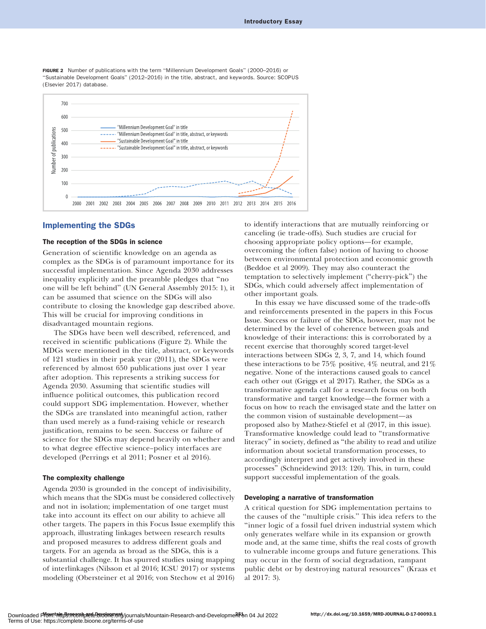FIGURE 2 Number of publications with the term "Millennium Development Goals" (2000–2016) or ''Sustainable Development Goals'' (2012–2016) in the title, abstract, and keywords. Source: SCOPUS (Elsevier 2017) database.



## Implementing the SDGs

### The reception of the SDGs in science

Generation of scientific knowledge on an agenda as complex as the SDGs is of paramount importance for its successful implementation. Since Agenda 2030 addresses inequality explicitly and the preamble pledges that ''no one will be left behind'' (UN General Assembly 2015: 1), it can be assumed that science on the SDGs will also contribute to closing the knowledge gap described above. This will be crucial for improving conditions in disadvantaged mountain regions.

The SDGs have been well described, referenced, and received in scientific publications (Figure 2). While the MDGs were mentioned in the title, abstract, or keywords of 121 studies in their peak year (2011), the SDGs were referenced by almost 650 publications just over 1 year after adoption. This represents a striking success for Agenda 2030. Assuming that scientific studies will influence political outcomes, this publication record could support SDG implementation. However, whether the SDGs are translated into meaningful action, rather than used merely as a fund-raising vehicle or research justification, remains to be seen. Success or failure of science for the SDGs may depend heavily on whether and to what degree effective science–policy interfaces are developed (Perrings et al 2011; Posner et al 2016).

#### The complexity challenge

Agenda 2030 is grounded in the concept of indivisibility, which means that the SDGs must be considered collectively and not in isolation; implementation of one target must take into account its effect on our ability to achieve all other targets. The papers in this Focus Issue exemplify this approach, illustrating linkages between research results and proposed measures to address different goals and targets. For an agenda as broad as the SDGs, this is a substantial challenge. It has spurred studies using mapping of interlinkages (Nilsson et al 2016; ICSU 2017) or systems modeling (Obersteiner et al 2016; von Stechow et al 2016)

to identify interactions that are mutually reinforcing or canceling (ie trade-offs). Such studies are crucial for choosing appropriate policy options—for example, overcoming the (often false) notion of having to choose between environmental protection and economic growth (Beddoe et al 2009). They may also counteract the temptation to selectively implement (''cherry-pick'') the SDGs, which could adversely affect implementation of other important goals.

In this essay we have discussed some of the trade-offs and reinforcements presented in the papers in this Focus Issue. Success or failure of the SDGs, however, may not be determined by the level of coherence between goals and knowledge of their interactions: this is corroborated by a recent exercise that thoroughly scored target-level interactions between SDGs 2, 3, 7, and 14, which found these interactions to be  $75\%$  positive,  $4\%$  neutral, and  $21\%$ negative. None of the interactions caused goals to cancel each other out (Griggs et al 2017). Rather, the SDGs as a transformative agenda call for a research focus on both transformative and target knowledge—the former with a focus on how to reach the envisaged state and the latter on the common vision of sustainable development—as proposed also by Mathez-Stiefel et al (2017, in this issue). Transformative knowledge could lead to ''transformative literacy'' in society, defined as ''the ability to read and utilize information about societal transformation processes, to accordingly interpret and get actively involved in these processes'' (Schneidewind 2013: 120). This, in turn, could support successful implementation of the goals.

## Developing a narrative of transformation

A critical question for SDG implementation pertains to the causes of the ''multiple crisis.'' This idea refers to the ''inner logic of a fossil fuel driven industrial system which only generates welfare while in its expansion or growth mode and, at the same time, shifts the real costs of growth to vulnerable income groups and future generations. This may occur in the form of social degradation, rampant public debt or by destroying natural resources'' (Kraas et al 2017: 3).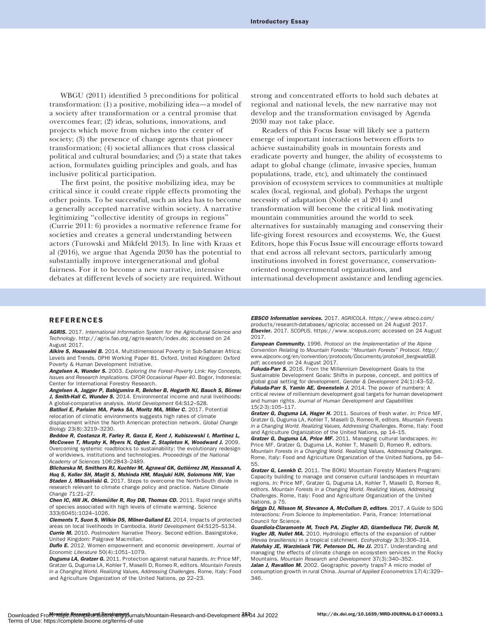WBGU (2011) identified 5 preconditions for political transformation: (1) a positive, mobilizing idea—a model of a society after transformation or a central promise that overcomes fear; (2) ideas, solutions, innovations, and projects which move from niches into the center of society; (3) the presence of change agents that pioneer transformation; (4) societal alliances that cross classical political and cultural boundaries; and (5) a state that takes action, formulates guiding principles and goals, and has inclusive political participation.

The first point, the positive mobilizing idea, may be critical since it could create ripple effects promoting the other points. To be successful, such an idea has to become a generally accepted narrative within society. A narrative legitimizing ''collective identity of groups in regions'' (Currie 2011: 6) provides a normative reference frame for societies and creates a general understanding between actors (Turowski and Mikfeld 2013). In line with Kraas et al (2016), we argue that Agenda 2030 has the potential to substantially improve intergenerational and global fairness. For it to become a new narrative, intensive debates at different levels of society are required. Without strong and concentrated efforts to hold such debates at regional and national levels, the new narrative may not develop and the transformation envisaged by Agenda 2030 may not take place.

Readers of this Focus Issue will likely see a pattern emerge of important interactions between efforts to achieve sustainability goals in mountain forests and eradicate poverty and hunger, the ability of ecosystems to adapt to global change (climate, invasive species, human populations, trade, etc), and ultimately the continued provision of ecosystem services to communities at multiple scales (local, regional, and global). Perhaps the urgent necessity of adaptation (Noble et al 2014) and transformation will become the critical link motivating mountain communities around the world to seek alternatives for sustainably managing and conserving their life-giving forest resources and ecosystems. We, the Guest Editors, hope this Focus Issue will encourage efforts toward that end across all relevant sectors, particularly among institutions involved in forest governance, conservationoriented nongovernmental organizations, and international development assistance and lending agencies.

#### REFERENCES

AGRIS. 2017. International Information System for the Agricultural Science and Technology.<http://agris.fao.org/agris-search/index.do>; accessed on 24 August 2017.

Alkire S, Housseini B. 2014. Multidimensional Poverty in Sub-Saharan Africa: Levels and Trends. OPHI Working Paper 81. Oxford, United Kingdom: Oxford Poverty & Human Development Initiative.

Angelsen A, Wunder S. 2003. Exploring the Forest-Poverty Link: Key Concepts, Issues and Research Implications. CIFOR Occasional Paper 40. Bogor, Indonesia: Center for International Forestry Research.

Angelsen A, Jagger P, Babigumira R, Belcher B, Hogarth NJ, Bauch S, Börner J. Smith-Hall C. Wunder S. 2014. Environmental income and rural livelihoods: A global-comparative analysis. World Development 64:S12–S28.

Batllori E, Parisien MA, Parks SA, Moritz MA, Miller C. 2017. Potential relocation of climatic environments suggests high rates of climate displacement within the North American protection network. Global Change

Biology 23(8):3219–3230. Beddoe R, Costanza R, Farley R, Garza E, Kent J, Kubiszewski I, Martinez L, McCowen T, Murphy K, Myers N, Ogden Z, Stapleton K, Woodward J. 2009. Overcoming systemic roadblocks to sustainability: the evolutionary redesign of worldviews, institutions and technologies. Proceedings of the National Academy of Sciences 106:2843–2489.

Blicharska M, Smithers RJ, Kuchler M, Agrawal GK, Gutiérrez JM, Hassanali A, Huq S, Koller SH, Marjit S, Mshinda HM, Masjuki HJH, Solomons NW, Van Staden J, Mikusiński G. 2017. Steps to overcome the North-South divide in research relevant to climate change policy and practice. Nature Climate Change 71:21–27.

Chen IC, Hill JK, Ohlemüller R, Roy DB, Thomas CD. 2011. Rapid range shifts of species associated with high levels of climate warming. Science 333(6045):1024–1026.

Clements T, Suon S, Wilkie DS, Milner-Gulland EJ. 2014. Impacts of protected areas on local livelihoods in Cambodia. World Development 64:S125–S134. Currie M. 2010. Postmodern Narrative Theory. Second edition. Basingstoke, United Kingdom: Palgrave Macmillan.

**Duflo E.** 2012. Women empowerment and economic development. Journal of Economic Literature 50(4):1051–1079.

Duguma LA, Gratzer G. 2011. Protection against natural hazards. In: Price MF, Gratzer G, Duguma LA, Kohler T, Maselli D, Romeo R, editors. Mountain Forests in a Changing World. Realizing Values, Addressing Challenges. Rome, Italy: Food and Agriculture Organization of the United Nations, pp 22–23.

EBSCO Information services. 2017. AGRICOLA. [https://www.ebsco.com/](https://www.ebsco.com/products/research-databases/agricola) [products/research-databases/agricola](https://www.ebsco.com/products/research-databases/agricola); accessed on 24 August 2017. Elsevier. 2017. SCOPUS.<https://www.scopus.com>; accessed on 24 August 2017.

**European Community.** 1996. Protocol on the Implementation of the Alpine Convention Relating to Mountain Forests: ''Mountain Forests'' Protocol. [http://](http://www.alpconv.org/en/convention/protocols/Documents/protokoll_bergwaldGB.pdf) [www.alpconv.org/en/convention/protocols/Documents/protokoll\\_bergwaldGB.](http://www.alpconv.org/en/convention/protocols/Documents/protokoll_bergwaldGB.pdf) [pdf](http://www.alpconv.org/en/convention/protocols/Documents/protokoll_bergwaldGB.pdf); accessed on 24 August 2017.

Fukuda-Parr S. 2016. From the Millennium Development Goals to the Sustainable Development Goals: Shifts in purpose, concept, and politics of global goal setting for development. Gender & Development 24(1):43–52. Fukuda-Parr S, Yamin AE, Greenstein J. 2014. The power of numbers: A

critical review of millennium development goal targets for human development and human rights. Journal of Human Development and Capabilities 15(2-3):105–117.

Gratzer G, Duguma LA, Hager H. 2011. Sources of fresh water. In: Price MF, Gratzer G, Duguma LA, Kohler T, Maselli D, Romeo R, editors. Mountain Forests in a Changing World. Realizing Values, Addressing Challenges. Rome, Italy: Food and Agriculture Organization of the United Nations, pp 14–15.

Gratzer G, Duguma LA, Price MF. 2011. Managing cultural landscapes. In: Price MF, Gratzer G, Duguma LA, Kohler T, Maselli D, Romeo R, editors. Mountain Forests in a Changing World. Realizing Values, Addressing Challenges. Rome, Italy: Food and Agriculture Organization of the United Nations, pp 54– 55.

Gratzer G, Lennkh C. 2011. The BOKU Mountain Forestry Masters Program: Capacity building to manage and conserve cultural landscapes in mountain regions. In: Price MF, Gratzer G, Duguma LA, Kohler T, Maselli D, Romeo R, editors. Mountain Forests in a Changing World. Realizing Values, Addressing Challenges. Rome, Italy: Food and Agriculture Organization of the United Nations, p 75.

Griggs DJ, Nilsson M, Stevance A, McCollum D, editors. 2017. A Guide to SDG Interactions: From Science to Implementation. Paris, France: International Council for Science.

Guardiola-Claramonte M, Troch PA, Ziegler AD, Giambelluca TW, Durcik M, Vogler JB, Nullet MA. 2010. Hydrologic effects of the expansion of rubber (Hevea brasiliensis) in a tropical catchment. Ecohydrology 3(3):306–314. Halofsky JE, Warziniack TW, Peterson DL, Ho JJ. 2017. Understanding and managing the effects of climate change on ecosystem services in the Rocky Mountains. Mountain Research and Development 37(3):340–352. Jalan J, Ravallion M. 2002. Geographic poverty traps? A micro model of consumption growth in rural China. Journal of Applied Econometrics 17(4):329– 346.